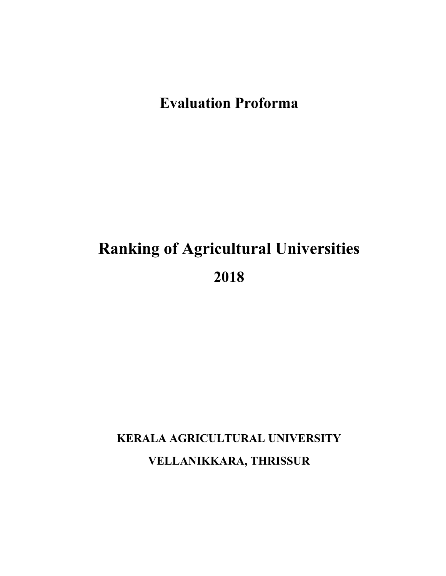# **Evaluation Proforma**

# **Ranking of Agricultural Universities 2018**

# **KERALA AGRICULTURAL UNIVERSITY VELLANIKKARA, THRISSUR**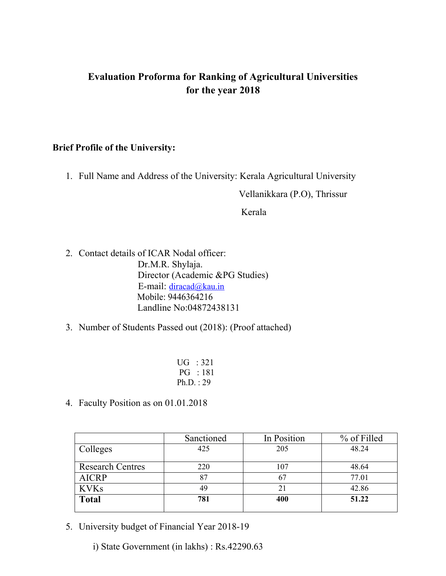## **Evaluation Proforma for Ranking of Agricultural Universities for the year 2018**

#### **Brief Profile of the University:**

1. Full Name and Address of the University: Kerala Agricultural University

Vellanikkara (P.O), Thrissur

Kerala

- 2. Contact details of ICAR Nodal officer: Dr.M.R. Shylaja. Director (Academic &PG Studies) E-mail: [diracad@kau.in](mailto:diracad@kau.in) Mobile: 9446364216 Landline No:04872438131
- 3. Number of Students Passed out (2018): (Proof attached)
	- UG : 321 PG : 181 Ph.D. : 29
- 4. Faculty Position as on 01.01.2018

|                         | Sanctioned | In Position | % of Filled |
|-------------------------|------------|-------------|-------------|
| Colleges                | 425        | 205         | 48.24       |
|                         |            |             |             |
| <b>Research Centres</b> | 220        | 107         | 48.64       |
| <b>AICRP</b>            | 87         | 67          | 77.01       |
| <b>KVKs</b>             | 49         | 21          | 42.86       |
| <b>Total</b>            | 781        | 400         | 51.22       |
|                         |            |             |             |

5. University budget of Financial Year 2018-19

i) State Government (in lakhs) : Rs.42290.63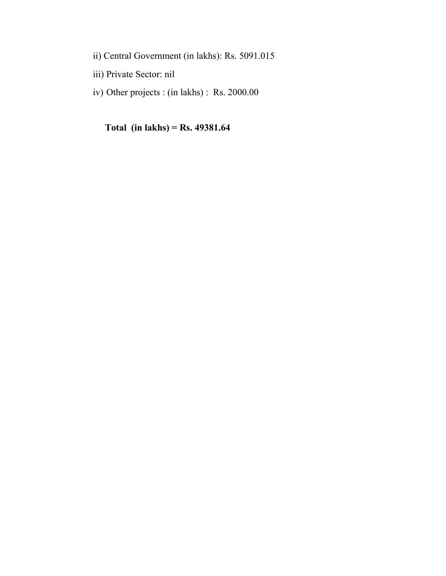- ii) Central Government (in lakhs): Rs. 5091.015
- iii) Private Sector: nil
- iv) Other projects : (in lakhs) : Rs. 2000.00

**Total (in lakhs) = Rs. 49381.64**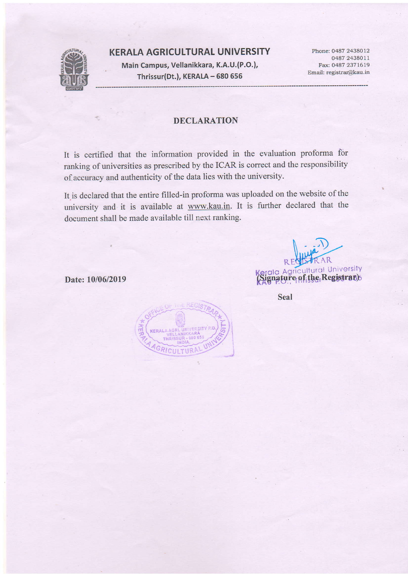#### KERALA AGRICULTURAL UNIVERSITY



Main Campus, Vellanikkara, K.A.U.(P.O.), Thrissur(Dt.), KERALA - 680 656

Phone: 0487 2438012 0487 2438011 Fax: 0487 2371619 Email: registrar@kau.in

#### DECLARATION

It is certified that the information provided in the evaluation proforma for ranking of universities as prescribed by the ICAR is correct and the responsibility of accuracy and authenticity of the data lies with the university.

It.is declared that the entire filled-in proforma was uploaded on the website of the university and it is available at www.kau.in. It is further declared that the document shall be made available till next ranking.

 $R<sub>1</sub>$ **Sanda Agricultural University**<br>Signature of the Registrasy

Date: 10/06/2019

Seal

KERAL GRICULTURA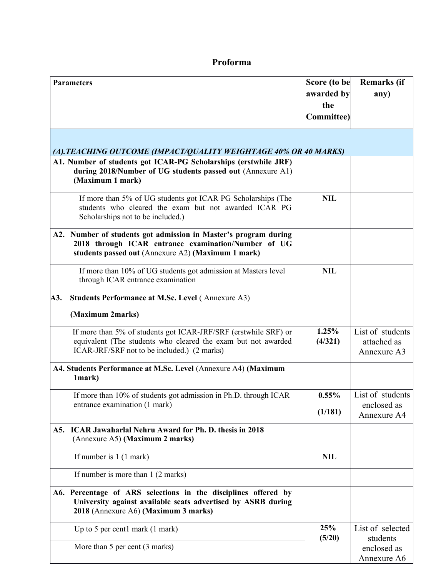### **Proforma**

|     | <b>Parameters</b>                                                                                                                                                               | Score (to be      | <b>Remarks</b> (if                             |
|-----|---------------------------------------------------------------------------------------------------------------------------------------------------------------------------------|-------------------|------------------------------------------------|
|     |                                                                                                                                                                                 | awarded by        | any)                                           |
|     |                                                                                                                                                                                 | the               |                                                |
|     |                                                                                                                                                                                 | <b>Committee)</b> |                                                |
|     | (A). TEACHING OUTCOME (IMPACT/QUALITY WEIGHTAGE 40% OR 40 MARKS)                                                                                                                |                   |                                                |
|     | A1. Number of students got ICAR-PG Scholarships (erstwhile JRF)<br>during 2018/Number of UG students passed out (Annexure A1)<br>(Maximum 1 mark)                               |                   |                                                |
|     | If more than 5% of UG students got ICAR PG Scholarships (The<br>students who cleared the exam but not awarded ICAR PG<br>Scholarships not to be included.)                      | <b>NIL</b>        |                                                |
|     | A2. Number of students got admission in Master's program during<br>2018 through ICAR entrance examination/Number of UG<br>students passed out (Annexure A2) (Maximum 1 mark)    |                   |                                                |
|     | If more than 10% of UG students got admission at Masters level<br>through ICAR entrance examination                                                                             | <b>NIL</b>        |                                                |
| A3. | <b>Students Performance at M.Sc. Level (Annexure A3)</b>                                                                                                                        |                   |                                                |
|     | (Maximum 2marks)                                                                                                                                                                |                   |                                                |
|     | If more than 5% of students got ICAR-JRF/SRF (erstwhile SRF) or<br>equivalent (The students who cleared the exam but not awarded<br>ICAR-JRF/SRF not to be included.) (2 marks) | 1.25%<br>(4/321)  | List of students<br>attached as<br>Annexure A3 |
|     | A4. Students Performance at M.Sc. Level (Annexure A4) (Maximum<br>1mark)                                                                                                        |                   |                                                |
|     | If more than 10% of students got admission in Ph.D. through ICAR                                                                                                                | 0.55%             | List of students                               |
|     | entrance examination (1 mark)                                                                                                                                                   | (1/181)           | enclosed as<br>Annexure A4                     |
| A5. | <b>ICAR Jawaharlal Nehru Award for Ph. D. thesis in 2018</b><br>(Annexure A5) (Maximum 2 marks)                                                                                 |                   |                                                |
|     | If number is $1(1 mark)$                                                                                                                                                        | <b>NIL</b>        |                                                |
|     | If number is more than 1 (2 marks)                                                                                                                                              |                   |                                                |
|     | A6. Percentage of ARS selections in the disciplines offered by<br>University against available seats advertised by ASRB during<br>2018 (Annexure A6) (Maximum 3 marks)          |                   |                                                |
|     | Up to 5 per cent1 mark $(1$ mark $)$                                                                                                                                            | 25%<br>(5/20)     | List of selected<br>students                   |
|     | More than 5 per cent (3 marks)                                                                                                                                                  |                   | enclosed as<br>Annexure A6                     |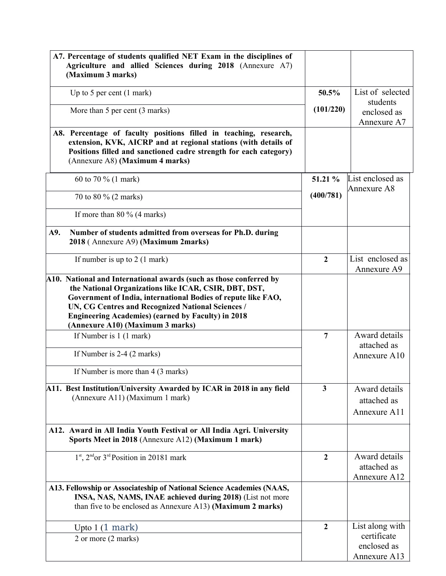| A7. Percentage of students qualified NET Exam in the disciplines of<br>Agriculture and allied Sciences during 2018 (Annexure A7)<br>(Maximum 3 marks)                                                                                                                                                                                              |                |                                              |
|----------------------------------------------------------------------------------------------------------------------------------------------------------------------------------------------------------------------------------------------------------------------------------------------------------------------------------------------------|----------------|----------------------------------------------|
| Up to 5 per cent $(1$ mark)                                                                                                                                                                                                                                                                                                                        | 50.5%          | List of selected                             |
| More than 5 per cent (3 marks)                                                                                                                                                                                                                                                                                                                     | (101/220)      | students<br>enclosed as<br>Annexure A7       |
| A8. Percentage of faculty positions filled in teaching, research,<br>extension, KVK, AICRP and at regional stations (with details of<br>Positions filled and sanctioned cadre strength for each category)<br>(Annexure A8) (Maximum 4 marks)                                                                                                       |                |                                              |
| 60 to 70 % (1 mark)                                                                                                                                                                                                                                                                                                                                | 51.21 %        | List enclosed as<br>Annexure A8              |
| 70 to 80 % (2 marks)                                                                                                                                                                                                                                                                                                                               | (400/781)      |                                              |
| If more than $80\%$ (4 marks)                                                                                                                                                                                                                                                                                                                      |                |                                              |
| Number of students admitted from overseas for Ph.D. during<br>A9.<br>2018 (Annexure A9) (Maximum 2marks)                                                                                                                                                                                                                                           |                |                                              |
| If number is up to $2(1$ mark)                                                                                                                                                                                                                                                                                                                     | $\overline{2}$ | List enclosed as<br>Annexure A9              |
| A10. National and International awards (such as those conferred by<br>the National Organizations like ICAR, CSIR, DBT, DST,<br>Government of India, international Bodies of repute like FAO,<br>UN, CG Centres and Recognized National Sciences /<br><b>Engineering Academies) (earned by Faculty) in 2018</b><br>(Annexure A10) (Maximum 3 marks) |                |                                              |
| If Number is 1 (1 mark)                                                                                                                                                                                                                                                                                                                            | $\overline{7}$ | Award details<br>attached as                 |
| If Number is 2-4 (2 marks)                                                                                                                                                                                                                                                                                                                         |                | Annexure A10                                 |
| If Number is more than 4 (3 marks)                                                                                                                                                                                                                                                                                                                 |                |                                              |
| A11. Best Institution/University Awarded by ICAR in 2018 in any field<br>(Annexure A11) (Maximum 1 mark)                                                                                                                                                                                                                                           | $\mathbf{3}$   | Award details<br>attached as<br>Annexure A11 |
| A12. Award in All India Youth Festival or All India Agri. University<br>Sports Meet in 2018 (Annexure A12) (Maximum 1 mark)                                                                                                                                                                                                                        |                |                                              |
| $1st$ , $2nd$ or $3rd$ Position in 20181 mark                                                                                                                                                                                                                                                                                                      | $\overline{2}$ | Award details<br>attached as<br>Annexure A12 |
| A13. Fellowship or Associateship of National Science Academies (NAAS,<br>INSA, NAS, NAMS, INAE achieved during 2018) (List not more<br>than five to be enclosed as Annexure A13) (Maximum 2 marks)                                                                                                                                                 |                |                                              |
| Upto $1(1)$ mark                                                                                                                                                                                                                                                                                                                                   | $\mathbf{2}$   | List along with                              |
| 2 or more (2 marks)                                                                                                                                                                                                                                                                                                                                |                | certificate<br>enclosed as<br>Annexure A13   |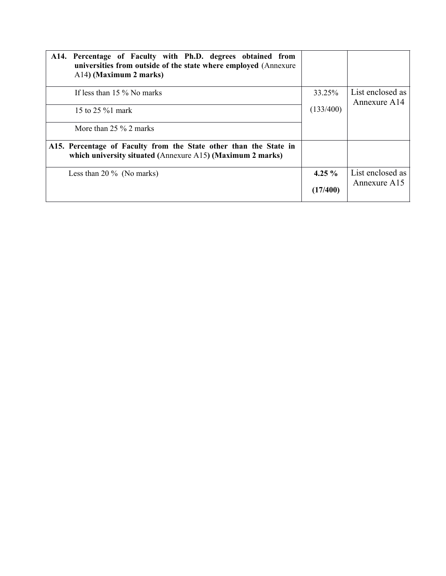| A14. Percentage of Faculty with Ph.D. degrees obtained from<br>universities from outside of the state where employed (Annexure<br>A14) (Maximum 2 marks) |           |                                  |
|----------------------------------------------------------------------------------------------------------------------------------------------------------|-----------|----------------------------------|
| If less than 15 % No marks                                                                                                                               | 33.25%    | List enclosed as<br>Annexure A14 |
| 15 to $25\%1$ mark                                                                                                                                       | (133/400) |                                  |
| More than $25\%$ 2 marks                                                                                                                                 |           |                                  |
| A15. Percentage of Faculty from the State other than the State in<br>which university situated (Annexure A15) (Maximum 2 marks)                          |           |                                  |
| Less than 20 $\%$ (No marks)                                                                                                                             | 4.25 $\%$ | List enclosed as<br>Annexure A15 |
|                                                                                                                                                          | (17/400)  |                                  |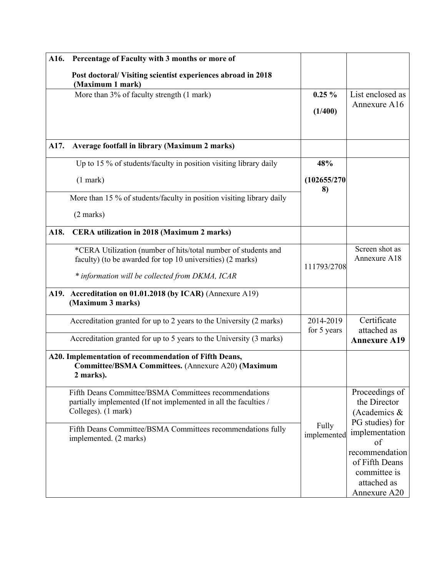| A16. | Percentage of Faculty with 3 months or more of                                                                                                   |                          |                                                                                 |
|------|--------------------------------------------------------------------------------------------------------------------------------------------------|--------------------------|---------------------------------------------------------------------------------|
|      | Post doctoral/Visiting scientist experiences abroad in 2018<br>(Maximum 1 mark)                                                                  |                          |                                                                                 |
|      | More than 3% of faculty strength (1 mark)                                                                                                        | $0.25 \%$                | List enclosed as                                                                |
|      |                                                                                                                                                  | (1/400)                  | Annexure A16                                                                    |
|      |                                                                                                                                                  |                          |                                                                                 |
| A17. | Average footfall in library (Maximum 2 marks)                                                                                                    |                          |                                                                                 |
|      | Up to 15 % of students/faculty in position visiting library daily                                                                                | 48%                      |                                                                                 |
|      | $(1$ mark $)$                                                                                                                                    | (102655/270<br>8)        |                                                                                 |
|      | More than 15 % of students/faculty in position visiting library daily                                                                            |                          |                                                                                 |
|      | $(2 \text{ marks})$                                                                                                                              |                          |                                                                                 |
| A18. | CERA utilization in 2018 (Maximum 2 marks)                                                                                                       |                          |                                                                                 |
|      | *CERA Utilization (number of hits/total number of students and<br>faculty) (to be awarded for top 10 universities) (2 marks)                     | 111793/2708              | Screen shot as<br>Annexure A18                                                  |
|      | * information will be collected from DKMA, ICAR                                                                                                  |                          |                                                                                 |
|      | A19. Accreditation on 01.01.2018 (by ICAR) (Annexure A19)<br>(Maximum 3 marks)                                                                   |                          |                                                                                 |
|      | Accreditation granted for up to 2 years to the University (2 marks)                                                                              | 2014-2019<br>for 5 years | Certificate<br>attached as                                                      |
|      | Accreditation granted for up to 5 years to the University (3 marks)                                                                              |                          | <b>Annexure A19</b>                                                             |
|      | A20. Implementation of recommendation of Fifth Deans,<br>Committee/BSMA Committees. (Annexure A20) (Maximum<br>2 marks).                         |                          |                                                                                 |
|      | Fifth Deans Committee/BSMA Committees recommendations<br>partially implemented (If not implemented in all the faculties /<br>Colleges). (1 mark) |                          | Proceedings of<br>the Director<br>(Academics &<br>PG studies) for               |
|      | Fifth Deans Committee/BSMA Committees recommendations fully<br>implemented. (2 marks)                                                            | Fully<br>implemented     | implementation<br>of                                                            |
|      |                                                                                                                                                  |                          | recommendation<br>of Fifth Deans<br>committee is<br>attached as<br>Annexure A20 |
|      |                                                                                                                                                  |                          |                                                                                 |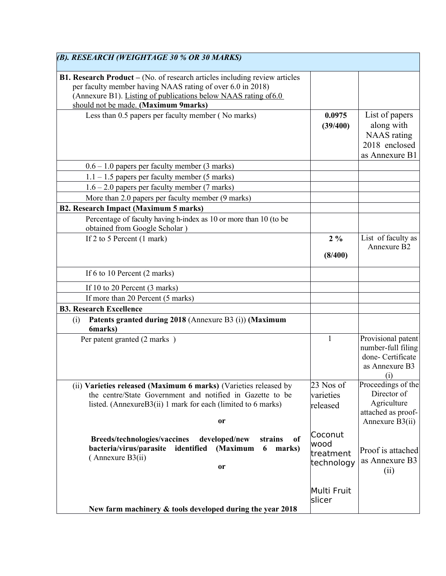| (B). RESEARCH (WEIGHTAGE 30 % OR 30 MARKS)                                                                                                                                                                                                                 |                         |                                                                                        |
|------------------------------------------------------------------------------------------------------------------------------------------------------------------------------------------------------------------------------------------------------------|-------------------------|----------------------------------------------------------------------------------------|
| <b>B1. Research Product</b> – (No. of research articles including review articles<br>per faculty member having NAAS rating of over 6.0 in 2018)<br>(Annexure B1). Listing of publications below NAAS rating of 6.0<br>should not be made. (Maximum 9marks) |                         |                                                                                        |
| Less than 0.5 papers per faculty member (No marks)                                                                                                                                                                                                         | 0.0975<br>(39/400)      | List of papers<br>along with<br><b>NAAS</b> rating<br>2018 enclosed<br>as Annexure B1  |
| $0.6 - 1.0$ papers per faculty member (3 marks)                                                                                                                                                                                                            |                         |                                                                                        |
| $1.1 - 1.5$ papers per faculty member (5 marks)                                                                                                                                                                                                            |                         |                                                                                        |
| $1.6 - 2.0$ papers per faculty member (7 marks)                                                                                                                                                                                                            |                         |                                                                                        |
| More than 2.0 papers per faculty member (9 marks)                                                                                                                                                                                                          |                         |                                                                                        |
| <b>B2. Research Impact (Maximum 5 marks)</b>                                                                                                                                                                                                               |                         |                                                                                        |
| Percentage of faculty having h-index as 10 or more than 10 (to be<br>obtained from Google Scholar)                                                                                                                                                         |                         |                                                                                        |
| If 2 to 5 Percent (1 mark)                                                                                                                                                                                                                                 | $2\%$                   | List of faculty as                                                                     |
|                                                                                                                                                                                                                                                            | (8/400)                 | Annexure B <sub>2</sub>                                                                |
| If 6 to 10 Percent (2 marks)                                                                                                                                                                                                                               |                         |                                                                                        |
| If 10 to 20 Percent (3 marks)                                                                                                                                                                                                                              |                         |                                                                                        |
| If more than 20 Percent (5 marks)                                                                                                                                                                                                                          |                         |                                                                                        |
| <b>B3. Research Excellence</b>                                                                                                                                                                                                                             |                         |                                                                                        |
| Patents granted during 2018 (Annexure B3 (i)) (Maximum<br>(i)<br>6marks)                                                                                                                                                                                   |                         |                                                                                        |
| Per patent granted (2 marks)                                                                                                                                                                                                                               | 1                       | Provisional patent<br>number-full filing<br>done- Certificate<br>as Annexure B3<br>(i) |
| (ii) Varieties released (Maximum 6 marks) (Varieties released by                                                                                                                                                                                           | $23$ Nos of             | Proceedings of the                                                                     |
| the centre/State Government and notified in Gazette to be                                                                                                                                                                                                  | varieties               | Director of                                                                            |
| listed. (AnnexureB3(ii) 1 mark for each (limited to 6 marks)<br><b>or</b>                                                                                                                                                                                  | released                | Agriculture<br>attached as proof-<br>Annexure B3(ii)                                   |
| Breeds/technologies/vaccines<br>developed/new<br>strains<br>of                                                                                                                                                                                             | Coconut<br>lwood        |                                                                                        |
| identified<br>bacteria/virus/parasite<br>(Maximum<br>6<br>marks)<br>$($ Annexure B3 $(ii)$<br>or                                                                                                                                                           | treatment<br>technology | Proof is attached<br>as Annexure B3<br>(ii)                                            |
| New farm machinery & tools developed during the year 2018                                                                                                                                                                                                  | Multi Fruit<br>slicer   |                                                                                        |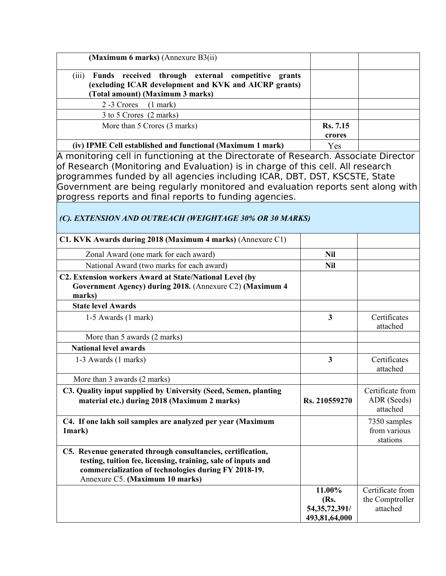| (Maximum 6 marks) (Annexure B3(ii)                                                                                                                                                                                                                                                                                                                                                                |                                                     |                                                 |
|---------------------------------------------------------------------------------------------------------------------------------------------------------------------------------------------------------------------------------------------------------------------------------------------------------------------------------------------------------------------------------------------------|-----------------------------------------------------|-------------------------------------------------|
| Funds received through external competitive grants<br>(iii)<br>(excluding ICAR development and KVK and AICRP grants)<br>(Total amount) (Maximum 3 marks)                                                                                                                                                                                                                                          |                                                     |                                                 |
| 2-3 Crores<br>$(1$ mark)                                                                                                                                                                                                                                                                                                                                                                          |                                                     |                                                 |
| 3 to 5 Crores (2 marks)                                                                                                                                                                                                                                                                                                                                                                           |                                                     |                                                 |
| More than 5 Crores (3 marks)                                                                                                                                                                                                                                                                                                                                                                      | <b>Rs.</b> 7.15                                     |                                                 |
|                                                                                                                                                                                                                                                                                                                                                                                                   | crores                                              |                                                 |
| (iv) IPME Cell established and functional (Maximum 1 mark)                                                                                                                                                                                                                                                                                                                                        | Yes                                                 |                                                 |
| A monitoring cell in functioning at the Directorate of Research. Associate Director<br>of Research (Monitoring and Evaluation) is in charge of this cell. All research<br>programmes funded by all agencies including ICAR, DBT, DST, KSCSTE, State<br>Government are being regularly monitored and evaluation reports sent along with<br>progress reports and final reports to funding agencies. |                                                     |                                                 |
| (C). EXTENSION AND OUTREACH (WEIGHTAGE 30% OR 30 MARKS)                                                                                                                                                                                                                                                                                                                                           |                                                     |                                                 |
| C1. KVK Awards during 2018 (Maximum 4 marks) (Annexure C1)                                                                                                                                                                                                                                                                                                                                        |                                                     |                                                 |
| Zonal Award (one mark for each award)                                                                                                                                                                                                                                                                                                                                                             | <b>Nil</b>                                          |                                                 |
| National Award (two marks for each award)                                                                                                                                                                                                                                                                                                                                                         | <b>Nil</b>                                          |                                                 |
| C2. Extension workers Award at State/National Level (by<br>Government Agency) during 2018. (Annexure C2) (Maximum 4<br>marks)                                                                                                                                                                                                                                                                     |                                                     |                                                 |
| <b>State level Awards</b>                                                                                                                                                                                                                                                                                                                                                                         |                                                     |                                                 |
| $1-5$ Awards $(1$ mark)                                                                                                                                                                                                                                                                                                                                                                           | $\mathbf{3}$                                        | Certificates<br>attached                        |
| More than 5 awards (2 marks)                                                                                                                                                                                                                                                                                                                                                                      |                                                     |                                                 |
| <b>National level awards</b>                                                                                                                                                                                                                                                                                                                                                                      |                                                     |                                                 |
| 1-3 Awards (1 marks)                                                                                                                                                                                                                                                                                                                                                                              | 3                                                   | Certificates<br>attached                        |
| More than 3 awards (2 marks)                                                                                                                                                                                                                                                                                                                                                                      |                                                     |                                                 |
| C3. Quality input supplied by University (Seed, Semen, planting<br>material etc.) during 2018 (Maximum 2 marks)                                                                                                                                                                                                                                                                                   | Rs. 210559270                                       | Certificate from<br>ADR (Seeds)<br>attached     |
| C4. If one lakh soil samples are analyzed per year (Maximum<br>1mark)                                                                                                                                                                                                                                                                                                                             |                                                     | 7350 samples<br>from various<br>stations        |
| C5. Revenue generated through consultancies, certification,<br>testing, tuition fee, licensing, training, sale of inputs and<br>commercialization of technologies during FY 2018-19.<br>Annexure C5. (Maximum 10 marks)                                                                                                                                                                           |                                                     |                                                 |
|                                                                                                                                                                                                                                                                                                                                                                                                   | 11.00%<br>(Rs.<br>54, 35, 72, 391/<br>493,81,64,000 | Certificate from<br>the Comptroller<br>attached |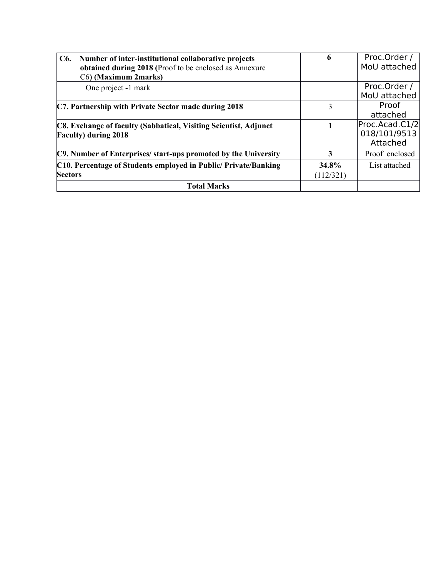| C6. Number of inter-institutional collaborative projects<br>obtained during 2018 (Proof to be enclosed as Annexure<br>C6) (Maximum 2marks) | 6                  | Proc.Order /<br>MoU attached               |
|--------------------------------------------------------------------------------------------------------------------------------------------|--------------------|--------------------------------------------|
| One project -1 mark                                                                                                                        |                    | Proc.Order /<br>MoU attached               |
| C7. Partnership with Private Sector made during 2018                                                                                       | 3                  | Proof<br>attached                          |
| C8. Exchange of faculty (Sabbatical, Visiting Scientist, Adjunct<br><b>Faculty</b> ) during 2018                                           |                    | Proc.Acad.C1/2<br>018/101/9513<br>Attached |
| C9. Number of Enterprises/ start-ups promoted by the University                                                                            | 3                  | Proof enclosed                             |
| C10. Percentage of Students employed in Public/Private/Banking<br><b>Sectors</b>                                                           | 34.8%<br>(112/321) | List attached                              |
| <b>Total Marks</b>                                                                                                                         |                    |                                            |